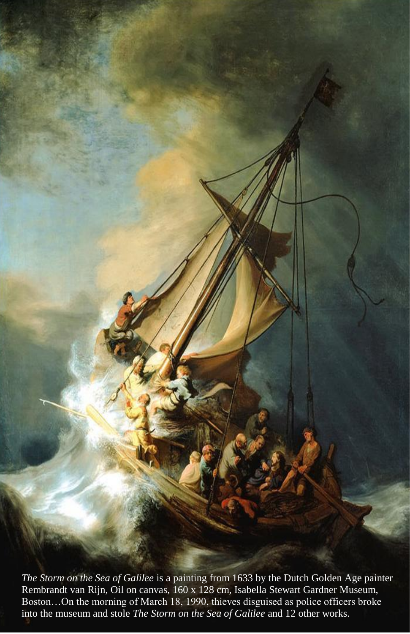*The Storm on the Sea of Galilee* is a painting from 1633 by the Dutch Golden Age painter Rembrandt van Rijn, Oil on canvas, 160 x 128 cm, Isabella Stewart Gardner Museum, Boston…On the morning of March 18, 1990, thieves disguised as police officers broke into the museum and stole *The Storm on the Sea of Galilee* and 12 other works.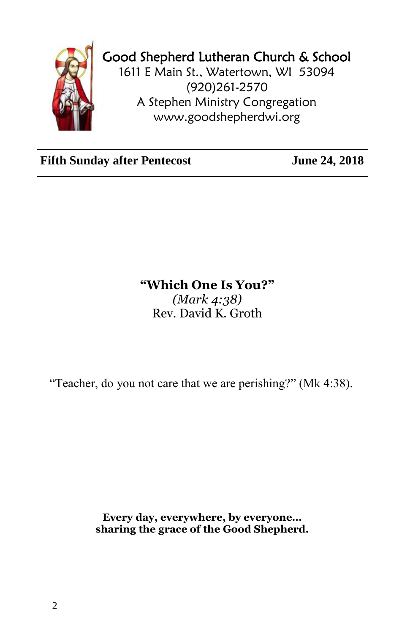

## Good Shepherd Lutheran Church & School

1611 E Main St., Watertown, WI 53094 (920)261-2570 A Stephen Ministry Congregation [www.goodshepherdwi.org](http://www.goodshepherdwi.org/)

Fifth Sunday after Pentecost June 24, 2018

## **"Which One Is You?"** *(Mark 4:38)* Rev. David K. Groth

"Teacher, do you not care that we are perishing?" (Mk 4:38).

**Every day, everywhere, by everyone… sharing the grace of the Good Shepherd.**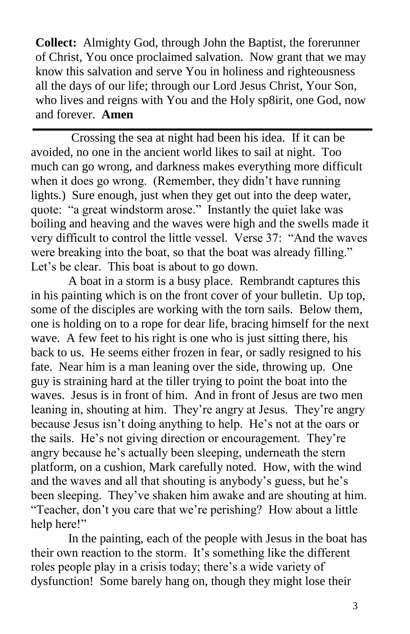**Collect:** Almighty God, through John the Baptist, the forerunner of Christ, You once proclaimed salvation. Now grant that we may know this salvation and serve You in holiness and righteousness all the days of our life; through our Lord Jesus Christ, Your Son, who lives and reigns with You and the Holy sp8irit, one God, now and forever. **Amen**

Crossing the sea at night had been his idea. If it can be avoided, no one in the ancient world likes to sail at night. Too much can go wrong, and darkness makes everything more difficult when it does go wrong. (Remember, they didn't have running lights.) Sure enough, just when they get out into the deep water, quote: "a great windstorm arose." Instantly the quiet lake was boiling and heaving and the waves were high and the swells made it very difficult to control the little vessel. Verse 37: "And the waves were breaking into the boat, so that the boat was already filling." Let's be clear. This boat is about to go down.

A boat in a storm is a busy place. Rembrandt captures this in his painting which is on the front cover of your bulletin. Up top, some of the disciples are working with the torn sails. Below them, one is holding on to a rope for dear life, bracing himself for the next wave. A few feet to his right is one who is just sitting there, his back to us. He seems either frozen in fear, or sadly resigned to his fate. Near him is a man leaning over the side, throwing up. One guy is straining hard at the tiller trying to point the boat into the waves. Jesus is in front of him. And in front of Jesus are two men leaning in, shouting at him. They're angry at Jesus. They're angry because Jesus isn't doing anything to help. He's not at the oars or the sails. He's not giving direction or encouragement. They're angry because he's actually been sleeping, underneath the stern platform, on a cushion, Mark carefully noted. How, with the wind and the waves and all that shouting is anybody's guess, but he's been sleeping. They've shaken him awake and are shouting at him. "Teacher, don't you care that we're perishing? How about a little help here!"

In the painting, each of the people with Jesus in the boat has their own reaction to the storm. It's something like the different roles people play in a crisis today; there's a wide variety of dysfunction! Some barely hang on, though they might lose their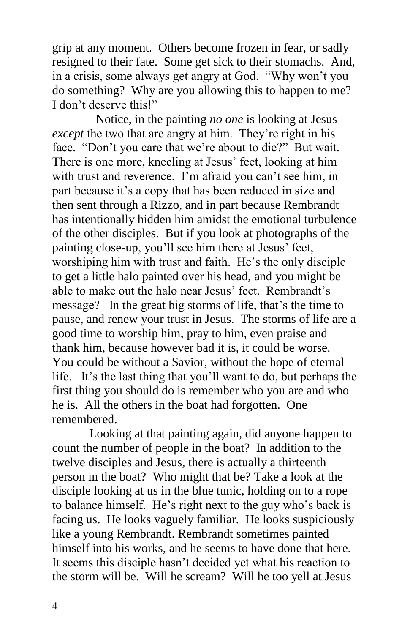grip at any moment. Others become frozen in fear, or sadly resigned to their fate. Some get sick to their stomachs. And, in a crisis, some always get angry at God. "Why won't you do something? Why are you allowing this to happen to me? I don't deserve this!"

 Notice, in the painting *no one* is looking at Jesus *except* the two that are angry at him. They're right in his face. "Don't you care that we're about to die?" But wait. There is one more, kneeling at Jesus' feet, looking at him with trust and reverence. I'm afraid you can't see him, in part because it's a copy that has been reduced in size and then sent through a Rizzo, and in part because Rembrandt has intentionally hidden him amidst the emotional turbulence of the other disciples. But if you look at photographs of the painting close-up, you'll see him there at Jesus' feet, worshiping him with trust and faith. He's the only disciple to get a little halo painted over his head, and you might be able to make out the halo near Jesus' feet. Rembrandt's message? In the great big storms of life, that's the time to pause, and renew your trust in Jesus. The storms of life are a good time to worship him, pray to him, even praise and thank him, because however bad it is, it could be worse. You could be without a Savior, without the hope of eternal life. It's the last thing that you'll want to do, but perhaps the first thing you should do is remember who you are and who he is. All the others in the boat had forgotten. One remembered.

Looking at that painting again, did anyone happen to count the number of people in the boat? In addition to the twelve disciples and Jesus, there is actually a thirteenth person in the boat? Who might that be? Take a look at the disciple looking at us in the blue tunic, holding on to a rope to balance himself. He's right next to the guy who's back is facing us. He looks vaguely familiar. He looks suspiciously like a young Rembrandt. Rembrandt sometimes painted himself into his works, and he seems to have done that here. It seems this disciple hasn't decided yet what his reaction to the storm will be. Will he scream? Will he too yell at Jesus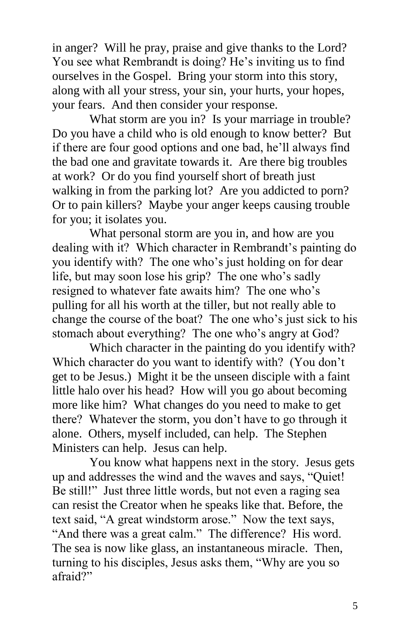in anger? Will he pray, praise and give thanks to the Lord? You see what Rembrandt is doing? He's inviting us to find ourselves in the Gospel. Bring your storm into this story, along with all your stress, your sin, your hurts, your hopes, your fears. And then consider your response.

What storm are you in? Is your marriage in trouble? Do you have a child who is old enough to know better? But if there are four good options and one bad, he'll always find the bad one and gravitate towards it. Are there big troubles at work? Or do you find yourself short of breath just walking in from the parking lot? Are you addicted to porn? Or to pain killers? Maybe your anger keeps causing trouble for you; it isolates you.

What personal storm are you in, and how are you dealing with it? Which character in Rembrandt's painting do you identify with? The one who's just holding on for dear life, but may soon lose his grip? The one who's sadly resigned to whatever fate awaits him? The one who's pulling for all his worth at the tiller, but not really able to change the course of the boat? The one who's just sick to his stomach about everything? The one who's angry at God?

Which character in the painting do you identify with? Which character do you want to identify with? (You don't get to be Jesus.) Might it be the unseen disciple with a faint little halo over his head? How will you go about becoming more like him? What changes do you need to make to get there? Whatever the storm, you don't have to go through it alone. Others, myself included, can help. The Stephen Ministers can help. Jesus can help.

You know what happens next in the story. Jesus gets up and addresses the wind and the waves and says, "Quiet! Be still!" Just three little words, but not even a raging sea can resist the Creator when he speaks like that. Before, the text said, "A great windstorm arose." Now the text says, "And there was a great calm." The difference? His word. The sea is now like glass, an instantaneous miracle. Then, turning to his disciples, Jesus asks them, "Why are you so afraid?"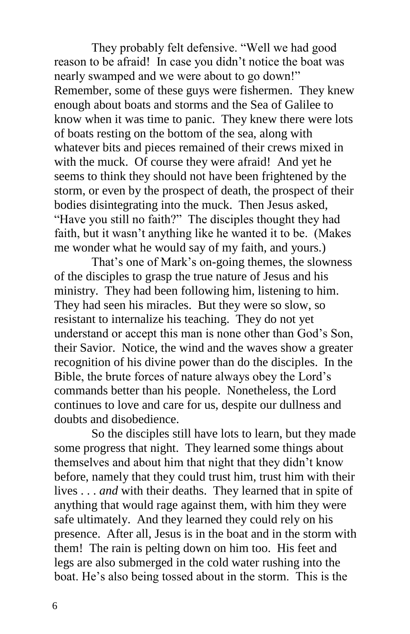They probably felt defensive. "Well we had good reason to be afraid! In case you didn't notice the boat was nearly swamped and we were about to go down!" Remember, some of these guys were fishermen. They knew enough about boats and storms and the Sea of Galilee to know when it was time to panic. They knew there were lots of boats resting on the bottom of the sea, along with whatever bits and pieces remained of their crews mixed in with the muck. Of course they were afraid! And yet he seems to think they should not have been frightened by the storm, or even by the prospect of death, the prospect of their bodies disintegrating into the muck. Then Jesus asked, "Have you still no faith?" The disciples thought they had faith, but it wasn't anything like he wanted it to be. (Makes me wonder what he would say of my faith, and yours.)

That's one of Mark's on-going themes, the slowness of the disciples to grasp the true nature of Jesus and his ministry. They had been following him, listening to him. They had seen his miracles. But they were so slow, so resistant to internalize his teaching. They do not yet understand or accept this man is none other than God's Son, their Savior. Notice, the wind and the waves show a greater recognition of his divine power than do the disciples. In the Bible, the brute forces of nature always obey the Lord's commands better than his people. Nonetheless, the Lord continues to love and care for us, despite our dullness and doubts and disobedience.

So the disciples still have lots to learn, but they made some progress that night. They learned some things about themselves and about him that night that they didn't know before, namely that they could trust him, trust him with their lives . . . *and* with their deaths. They learned that in spite of anything that would rage against them, with him they were safe ultimately. And they learned they could rely on his presence. After all, Jesus is in the boat and in the storm with them! The rain is pelting down on him too. His feet and legs are also submerged in the cold water rushing into the boat. He's also being tossed about in the storm. This is the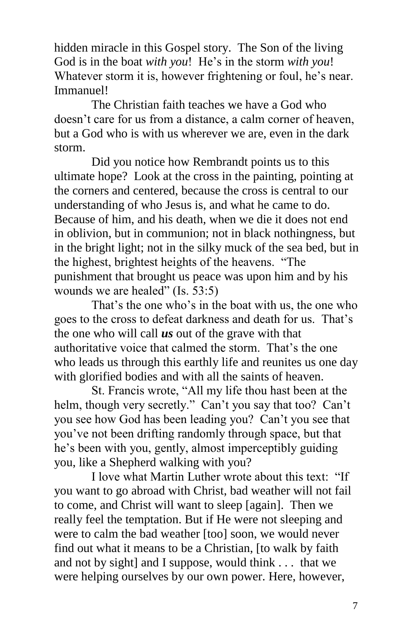hidden miracle in this Gospel story. The Son of the living God is in the boat *with you*! He's in the storm *with you*! Whatever storm it is, however frightening or foul, he's near. Immanuel!

The Christian faith teaches we have a God who doesn't care for us from a distance, a calm corner of heaven, but a God who is with us wherever we are, even in the dark storm.

Did you notice how Rembrandt points us to this ultimate hope? Look at the cross in the painting, pointing at the corners and centered, because the cross is central to our understanding of who Jesus is, and what he came to do. Because of him, and his death, when we die it does not end in oblivion, but in communion; not in black nothingness, but in the bright light; not in the silky muck of the sea bed, but in the highest, brightest heights of the heavens. "The punishment that brought us peace was upon him and by his wounds we are healed" (Is. 53:5)

That's the one who's in the boat with us, the one who goes to the cross to defeat darkness and death for us. That's the one who will call *us* out of the grave with that authoritative voice that calmed the storm. That's the one who leads us through this earthly life and reunites us one day with glorified bodies and with all the saints of heaven.

St. Francis wrote, "All my life thou hast been at the helm, though very secretly." Can't you say that too? Can't you see how God has been leading you? Can't you see that you've not been drifting randomly through space, but that he's been with you, gently, almost imperceptibly guiding you, like a Shepherd walking with you?

I love what Martin Luther wrote about this text: "If you want to go abroad with Christ, bad weather will not fail to come, and Christ will want to sleep [again]. Then we really feel the temptation. But if He were not sleeping and were to calm the bad weather [too] soon, we would never find out what it means to be a Christian, [to walk by faith and not by sight] and I suppose, would think . . . that we were helping ourselves by our own power. Here, however,